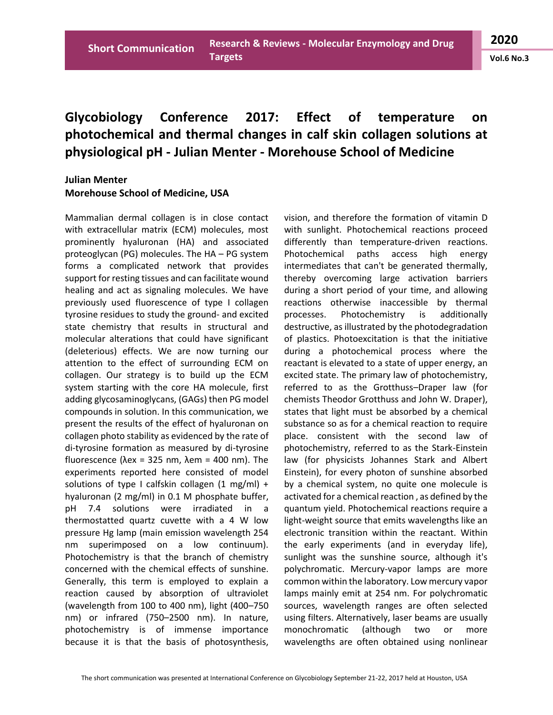## **Glycobiology Conference 2017: Effect of temperature on photochemical and thermal changes in calf skin collagen solutions at physiological pH - Julian Menter - Morehouse School of Medicine**

## **Julian Menter Morehouse School of Medicine, USA**

Mammalian dermal collagen is in close contact with extracellular matrix (ECM) molecules, most prominently hyaluronan (HA) and associated proteoglycan (PG) molecules. The HA – PG system forms a complicated network that provides support for resting tissues and can facilitate wound healing and act as signaling molecules. We have previously used fluorescence of type I collagen tyrosine residues to study the ground- and excited state chemistry that results in structural and molecular alterations that could have significant (deleterious) effects. We are now turning our attention to the effect of surrounding ECM on collagen. Our strategy is to build up the ECM system starting with the core HA molecule, first adding glycosaminoglycans, (GAGs) then PG model compounds in solution. In this communication, we present the results of the effect of hyaluronan on collagen photo stability as evidenced by the rate of di-tyrosine formation as measured by di-tyrosine fluorescence (λex = 325 nm, λem = 400 nm). The experiments reported here consisted of model solutions of type I calfskin collagen  $(1 \text{ mg/ml}) +$ hyaluronan (2 mg/ml) in 0.1 M phosphate buffer, pH 7.4 solutions were irradiated in a thermostatted quartz cuvette with a 4 W low pressure Hg lamp (main emission wavelength 254 nm superimposed on a low continuum). Photochemistry is that the branch of chemistry concerned with the chemical effects of sunshine. Generally, this term is employed to explain a reaction caused by absorption of ultraviolet (wavelength from 100 to 400 nm), light (400–750 nm) or infrared (750–2500 nm). In nature, photochemistry is of immense importance because it is that the basis of photosynthesis,

vision, and therefore the formation of vitamin D with sunlight. Photochemical reactions proceed differently than temperature-driven reactions. Photochemical paths access high energy intermediates that can't be generated thermally, thereby overcoming large activation barriers during a short period of your time, and allowing reactions otherwise inaccessible by thermal processes. Photochemistry is additionally destructive, as illustrated by the photodegradation of plastics. Photoexcitation is that the initiative during a photochemical process where the reactant is elevated to a state of upper energy, an excited state. The primary law of photochemistry, referred to as the Grotthuss–Draper law (for chemists Theodor Grotthuss and John W. Draper), states that light must be absorbed by a chemical substance so as for a chemical reaction to require place. consistent with the second law of photochemistry, referred to as the Stark-Einstein law (for physicists Johannes Stark and Albert Einstein), for every photon of sunshine absorbed by a chemical system, no quite one molecule is activated for a chemical reaction , as defined by the quantum yield. Photochemical reactions require a light-weight source that emits wavelengths like an electronic transition within the reactant. Within the early experiments (and in everyday life), sunlight was the sunshine source, although it's polychromatic. Mercury-vapor lamps are more common within the laboratory. Low mercury vapor lamps mainly emit at 254 nm. For polychromatic sources, wavelength ranges are often selected using filters. Alternatively, laser beams are usually monochromatic (although two or more wavelengths are often obtained using nonlinear